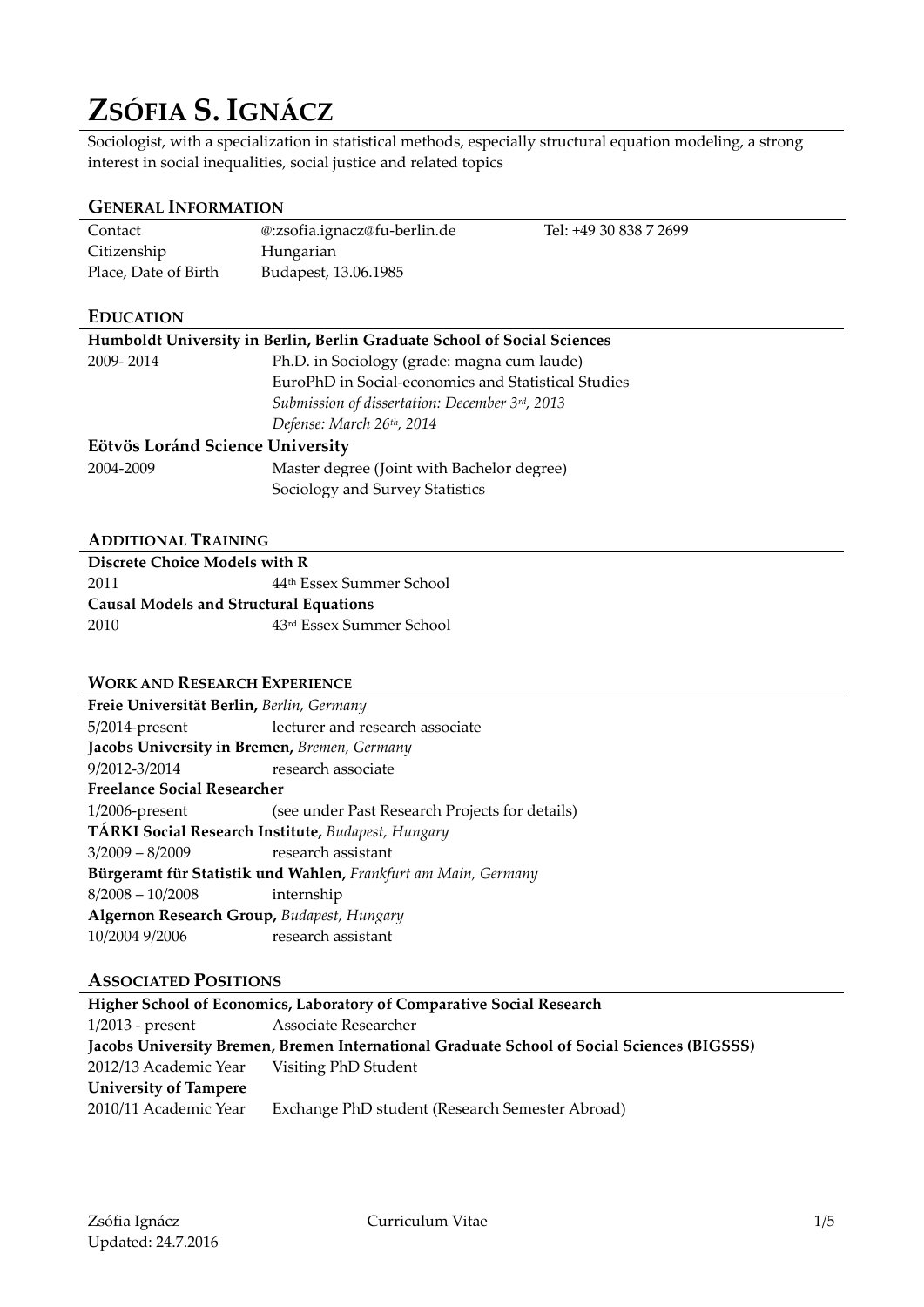# **ZSÓFIA S. IGNÁCZ**

Sociologist, with a specialization in statistical methods, especially structural equation modeling, a strong interest in social inequalities, social justice and related topics

# **GENERAL INFORMATION**

| Contact              | @:zsofia.ignacz@fu-berlin.de | Tel: +49 30 838 7 2699 |
|----------------------|------------------------------|------------------------|
| Citizenship          | Hungarian                    |                        |
| Place, Date of Birth | Budapest, 13.06.1985         |                        |

# **EDUCATION**

| Humboldt University in Berlin, Berlin Graduate School of Social Sciences |                                                     |
|--------------------------------------------------------------------------|-----------------------------------------------------|
| 2009-2014                                                                | Ph.D. in Sociology (grade: magna cum laude)         |
|                                                                          | EuroPhD in Social-economics and Statistical Studies |
|                                                                          | Submission of dissertation: December 3rd, 2013      |
|                                                                          | Defense: March 26th, 2014                           |
| Eötvös Loránd Science University                                         |                                                     |
| 2004-2009                                                                | Master degree (Joint with Bachelor degree)          |
|                                                                          | Sociology and Survey Statistics                     |

### **ADDITIONAL TRAINING**

| Discrete Choice Models with R                 |                                      |
|-----------------------------------------------|--------------------------------------|
| 2011                                          | 44 <sup>th</sup> Essex Summer School |
| <b>Causal Models and Structural Equations</b> |                                      |
|                                               |                                      |

### **WORK AND RESEARCH EXPERIENCE**

| Freie Universität Berlin, Berlin, Germany    |                                                                |
|----------------------------------------------|----------------------------------------------------------------|
| $5/2014$ -present                            | lecturer and research associate                                |
| Jacobs University in Bremen, Bremen, Germany |                                                                |
| 9/2012-3/2014                                | research associate                                             |
| <b>Freelance Social Researcher</b>           |                                                                |
| $1/2006$ -present                            | (see under Past Research Projects for details)                 |
|                                              | TÁRKI Social Research Institute, Budapest, Hungary             |
| $3/2009 - 8/2009$ research assistant         |                                                                |
|                                              | Bürgeramt für Statistik und Wahlen, Frankfurt am Main, Germany |
| $8/2008 - 10/2008$                           | internship                                                     |
| Algernon Research Group, Budapest, Hungary   |                                                                |
| 10/2004 9/2006                               | research assistant                                             |
|                                              |                                                                |

# **ASSOCIATED POSITIONS**

| Higher School of Economics, Laboratory of Comparative Social Research                      |                                                 |  |
|--------------------------------------------------------------------------------------------|-------------------------------------------------|--|
| $1/2013$ - present                                                                         | Associate Researcher                            |  |
| Jacobs University Bremen, Bremen International Graduate School of Social Sciences (BIGSSS) |                                                 |  |
| 2012/13 Academic Year Visiting PhD Student                                                 |                                                 |  |
| <b>University of Tampere</b>                                                               |                                                 |  |
| 2010/11 Academic Year                                                                      | Exchange PhD student (Research Semester Abroad) |  |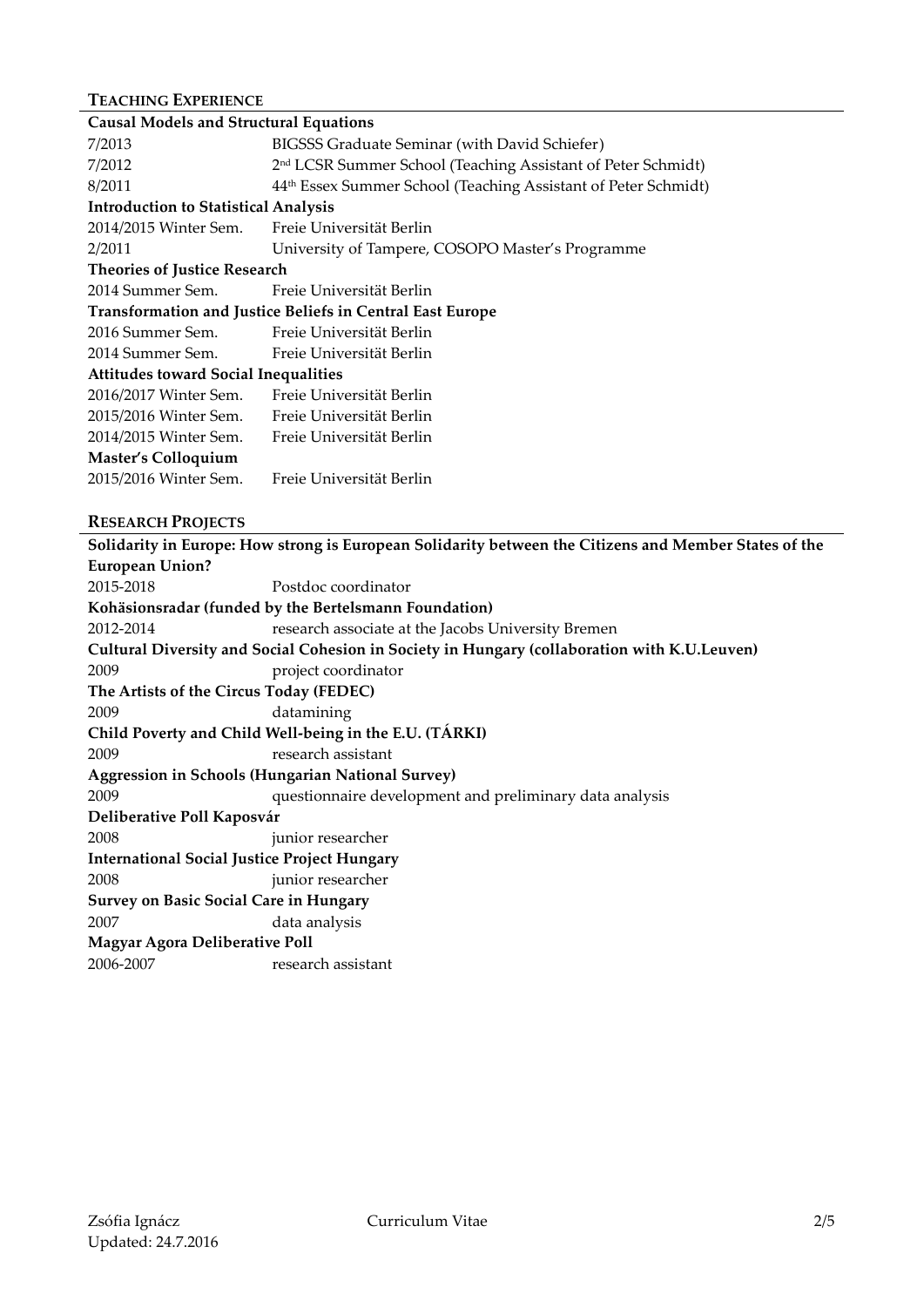# **TEACHING EXPERIENCE**

| <b>Causal Models and Structural Equations</b> |                                                                          |
|-----------------------------------------------|--------------------------------------------------------------------------|
| 7/2013                                        | BIGSSS Graduate Seminar (with David Schiefer)                            |
| 7/2012                                        | 2 <sup>nd</sup> LCSR Summer School (Teaching Assistant of Peter Schmidt) |
| 8/2011                                        | 44th Essex Summer School (Teaching Assistant of Peter Schmidt)           |
| <b>Introduction to Statistical Analysis</b>   |                                                                          |
| 2014/2015 Winter Sem.                         | Freie Universität Berlin                                                 |
| 2/2011                                        | University of Tampere, COSOPO Master's Programme                         |
| <b>Theories of Justice Research</b>           |                                                                          |
| 2014 Summer Sem.                              | Freie Universität Berlin                                                 |
|                                               | <b>Transformation and Justice Beliefs in Central East Europe</b>         |
| 2016 Summer Sem.                              | Freie Universität Berlin                                                 |
| 2014 Summer Sem.                              | Freie Universität Berlin                                                 |
| <b>Attitudes toward Social Inequalities</b>   |                                                                          |
| 2016/2017 Winter Sem.                         | Freie Universität Berlin                                                 |
| 2015/2016 Winter Sem.                         | Freie Universität Berlin                                                 |
| 2014/2015 Winter Sem.                         | Freie Universität Berlin                                                 |
| Master's Colloquium                           |                                                                          |
| 2015/2016 Winter Sem.                         | Freie Universität Berlin                                                 |

# **RESEARCH PROJECTS**

**Solidarity in Europe: How strong is European Solidarity between the Citizens and Member States of the European Union?** 2015-2018 Postdoc coordinator **Kohäsionsradar (funded by the Bertelsmann Foundation)** 2012-2014 research associate at the Jacobs University Bremen **Cultural Diversity and Social Cohesion in Society in Hungary (collaboration with K.U.Leuven)** 2009 project coordinator **The Artists of the Circus Today (FEDEC)** 2009 datamining **Child Poverty and Child Well-being in the E.U. (TÁRKI)** 2009 research assistant **Aggression in Schools (Hungarian National Survey)** 2009 questionnaire development and preliminary data analysis **Deliberative Poll Kaposvár** 2008 junior researcher **International Social Justice Project Hungary** 2008 junior researcher **Survey on Basic Social Care in Hungary** 2007 data analysis **Magyar Agora Deliberative Poll** 2006-2007 research assistant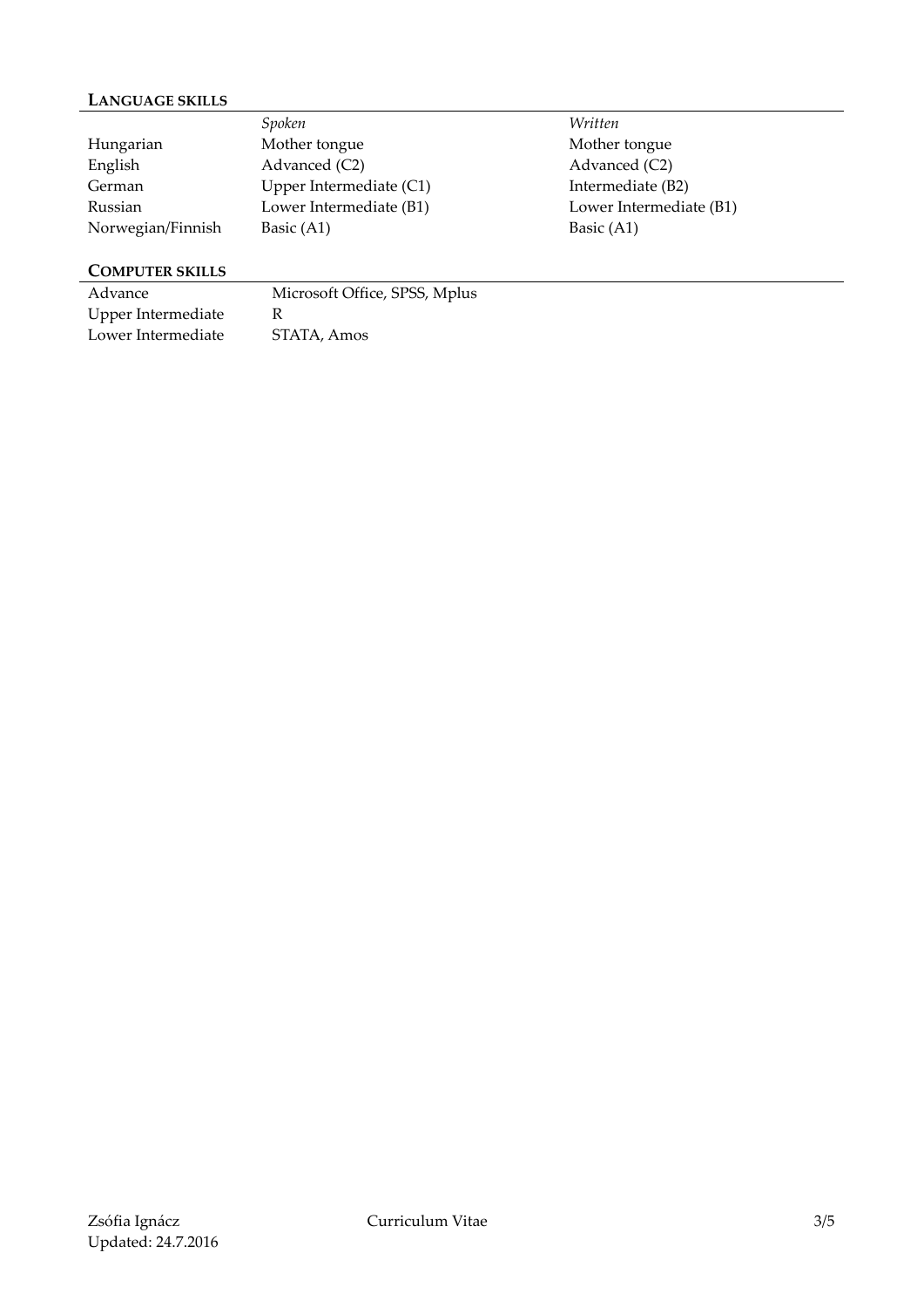# **LANGUAGE SKILLS**

|                   | Spoken                    | Written                 |
|-------------------|---------------------------|-------------------------|
| Hungarian         | Mother tongue             | Mother tongue           |
| English           | Advanced (C2)             | Advanced (C2)           |
| German            | Upper Intermediate $(C1)$ | Intermediate (B2)       |
| Russian           | Lower Intermediate (B1)   | Lower Intermediate (B1) |
| Norwegian/Finnish | Basic (A1)                | Basic $(A1)$            |

# **COMPUTER SKILLS**

| Advance            | Microsoft Office, SPSS, Mplus |
|--------------------|-------------------------------|
| Upper Intermediate |                               |
| Lower Intermediate | STATA, Amos                   |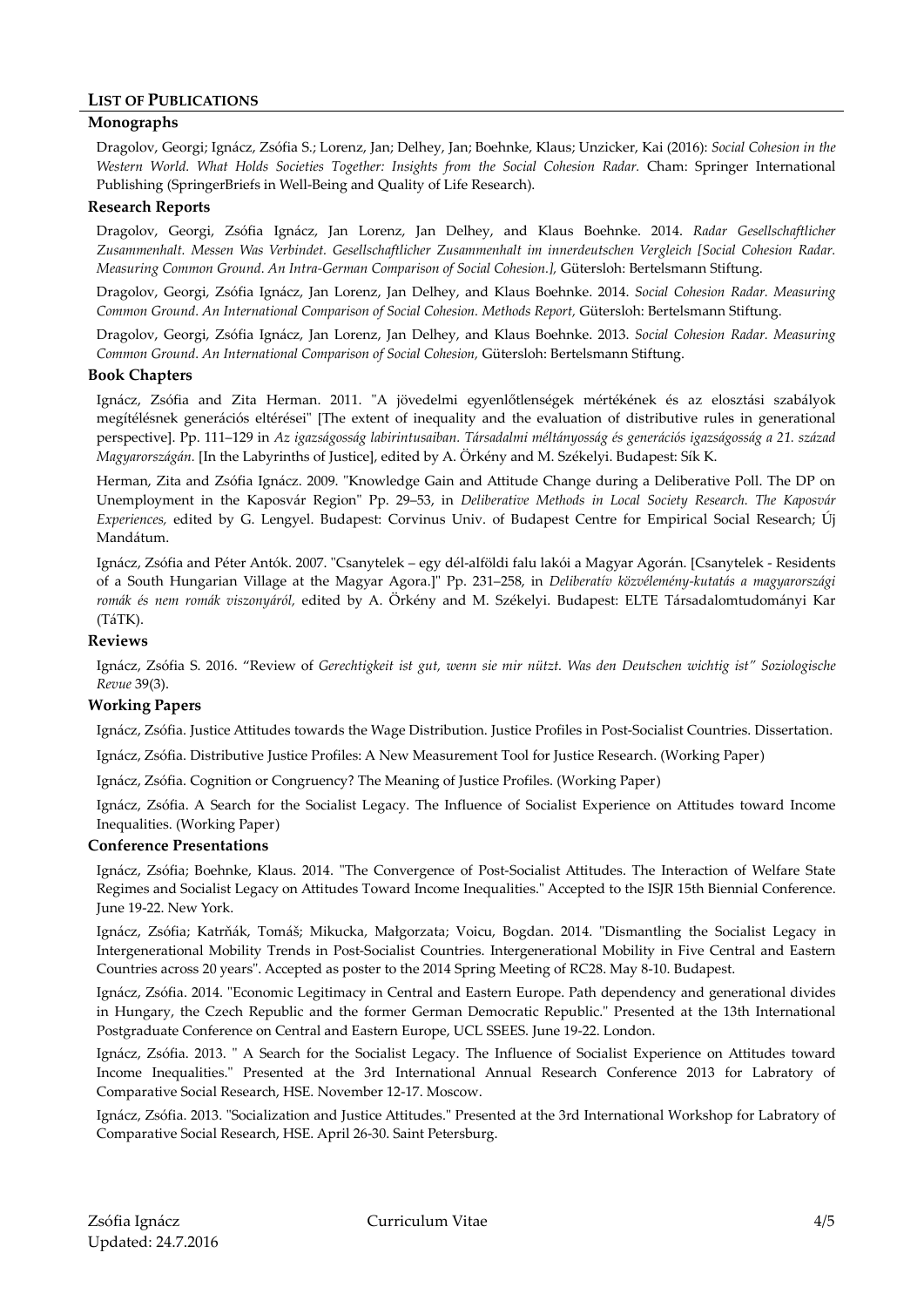### **LIST OF PUBLICATIONS**

### **Monographs**

Dragolov, Georgi; Ignácz, Zsófia S.; Lorenz, Jan; Delhey, Jan; Boehnke, Klaus; Unzicker, Kai (2016): *Social Cohesion in the Western World. What Holds Societies Together: Insights from the Social Cohesion Radar.* Cham: Springer International Publishing (SpringerBriefs in Well-Being and Quality of Life Research).

### **Research Reports**

Dragolov, Georgi, Zsófia Ignácz, Jan Lorenz, Jan Delhey, and Klaus Boehnke. 2014. *Radar Gesellschaftlicher Zusammenhalt. Messen Was Verbindet. Gesellschaftlicher Zusammenhalt im innerdeutschen Vergleich [Social Cohesion Radar. Measuring Common Ground. An Intra-German Comparison of Social Cohesion.],* Gütersloh: Bertelsmann Stiftung.

Dragolov, Georgi, Zsófia Ignácz, Jan Lorenz, Jan Delhey, and Klaus Boehnke. 2014. *Social Cohesion Radar. Measuring Common Ground. An International Comparison of Social Cohesion. Methods Report,* Gütersloh: Bertelsmann Stiftung.

Dragolov, Georgi, Zsófia Ignácz, Jan Lorenz, Jan Delhey, and Klaus Boehnke. 2013. *Social Cohesion Radar. Measuring Common Ground. An International Comparison of Social Cohesion,* Gütersloh: Bertelsmann Stiftung.

### **Book Chapters**

Ignácz, Zsófia and Zita Herman. 2011. "A jövedelmi egyenlőtlenségek mértékének és az elosztási szabályok megítélésnek generációs eltérései" [The extent of inequality and the evaluation of distributive rules in generational perspective]. Pp. 111–129 in *Az igazságosság labirintusaiban. Társadalmi méltányosság és generációs igazságosság a 21. század Magyarországán.* [In the Labyrinths of Justice], edited by A. Örkény and M. Székelyi. Budapest: Sík K.

Herman, Zita and Zsófia Ignácz. 2009. "Knowledge Gain and Attitude Change during a Deliberative Poll. The DP on Unemployment in the Kaposvár Region" Pp. 29–53, in *Deliberative Methods in Local Society Research. The Kaposvár Experiences,* edited by G. Lengyel. Budapest: Corvinus Univ. of Budapest Centre for Empirical Social Research; Új Mandátum.

Ignácz, Zsófia and Péter Antók. 2007. "Csanytelek – egy dél-alföldi falu lakói a Magyar Agorán. [Csanytelek - Residents of a South Hungarian Village at the Magyar Agora.]" Pp. 231–258, in *Deliberatív közvélemény-kutatás a magyarországi romák és nem romák viszonyáról,* edited by A. Örkény and M. Székelyi. Budapest: ELTE Társadalomtudományi Kar (TáTK).

### **Reviews**

Ignácz, Zsófia S. 2016. "Review of *Gerechtigkeit ist gut, wenn sie mir nützt. Was den Deutschen wichtig ist" Soziologische Revue* 39(3).

### **Working Papers**

Ignácz, Zsófia. Justice Attitudes towards the Wage Distribution. Justice Profiles in Post-Socialist Countries. Dissertation.

Ignácz, Zsófia. Distributive Justice Profiles: A New Measurement Tool for Justice Research. (Working Paper)

Ignácz, Zsófia. Cognition or Congruency? The Meaning of Justice Profiles. (Working Paper)

Ignácz, Zsófia. A Search for the Socialist Legacy. The Influence of Socialist Experience on Attitudes toward Income Inequalities. (Working Paper)

### **Conference Presentations**

Ignácz, Zsófia; Boehnke, Klaus. 2014. "The Convergence of Post-Socialist Attitudes. The Interaction of Welfare State Regimes and Socialist Legacy on Attitudes Toward Income Inequalities." Accepted to the ISJR 15th Biennial Conference. June 19-22. New York.

Ignácz, Zsófia; Katrňák, Tomáš; Mikucka, Małgorzata; Voicu, Bogdan. 2014. "Dismantling the Socialist Legacy in Intergenerational Mobility Trends in Post-Socialist Countries. Intergenerational Mobility in Five Central and Eastern Countries across 20 years". Accepted as poster to the 2014 Spring Meeting of RC28. May 8-10. Budapest.

Ignácz, Zsófia. 2014. "Economic Legitimacy in Central and Eastern Europe. Path dependency and generational divides in Hungary, the Czech Republic and the former German Democratic Republic." Presented at the 13th International Postgraduate Conference on Central and Eastern Europe, UCL SSEES. June 19-22. London.

Ignácz, Zsófia. 2013. " A Search for the Socialist Legacy. The Influence of Socialist Experience on Attitudes toward Income Inequalities." Presented at the 3rd International Annual Research Conference 2013 for Labratory of Comparative Social Research, HSE. November 12-17. Moscow.

Ignácz, Zsófia. 2013. "Socialization and Justice Attitudes." Presented at the 3rd International Workshop for Labratory of Comparative Social Research, HSE. April 26-30. Saint Petersburg.